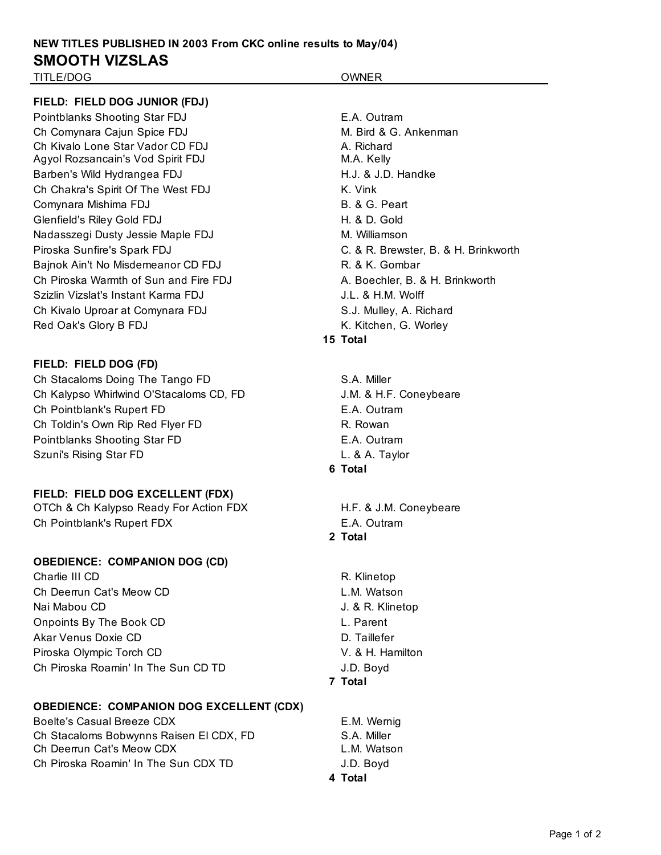# **NEW TITLES PUBLISHED IN 2003 From CKC online results to May/04) SMOOTH VIZSLAS**

TITLE/DOG OWNER

#### **FIELD: FIELD DOG JUNIOR (FDJ)**

Pointblanks Shooting Star FDJ **E.A. Outram** Ch Comynara Caiun Spice FDJ M. Bird & G. Ankenman Ch Kivalo Lone Star Vador CD FDJ **A. Richard** Agyol Rozsancain's Vod Spirit FDJ M.A. Kelly Barben's Wild Hydrangea FDJ **H.J. & J.D. Handke** Ch Chakra's Spirit Of The West FDJ K. Vink Comynara Mishima FDJ B. & G. Peart Glenfield's Riley Gold FDJ H. & D. Gold Nadasszegi Dusty Jessie Maple FDJ M. Williamson Piroska Sunfire's Spark FDJ C. & R. Brewster, B. & H. Brinkworth Bainok Ain't No Misdemeanor CD FDJ R. & K. Gombar Ch Piroska Warmth of Sun and Fire FDJ **A. Boechler, B. & H. Brinkworth** Szizlin Vizslat's Instant Karma FDJ **J.L. & H.M. Wolff** Ch Kivalo Uproar at Comvnara FDJ S.J. Mulley, A. Richard Red Oak's Glory B FDJ **K. Kitchen, G. Worley** 

# **FIELD: FIELD DOG (FD)**

Ch Stacaloms Doing The Tango FD S.A. Miller Ch Kalypso Whirlwind O'Stacaloms CD, FD J.M. & H.F. Coneybeare Ch Pointblank's Rupert FD E.A. Outram Ch Toldin's Own Rip Red Flyer FD R. Rowan Pointblanks Shooting Star FD E.A. Outram Szuni's Rising Star FD L. & A. Taylor

# **FIELD: FIELD DOG EXCELLENT (FDX)**

OTCh & Ch Kalypso Ready For Action FDX H.F. & J.M. Coneybeare Ch Pointblank's Rupert FDX E.A. Outram

#### **OBEDIENCE: COMPANION DOG (CD)**

Charlie III CD R. Klinetop Ch Deerrun Cat's Meow CD L.M. Watson Nai Mabou CD J. & R. Klinetop Onpoints By The Book CD L. Parent Akar Venus Doxie CD **D. Taillefer** Piroska Olympic Torch CD V. & H. Hamilton Ch Piroska Roamin' In The Sun CD TD **J.D. Boyd** 

#### **OBEDIENCE: COMPANION DOG EXCELLENT (CDX)**

Boelte's Casual Breeze CDX E.M. Wernig Ch Stacaloms Bobwynns Raisen El CDX, FD S.A. Miller Ch Deerrun Cat's Meow CDX Changes Changes Controller Matson Ch Piroska Roamin' In The Sun CDX TD J.D. Boyd

### **15 Total**

- **6 Total**
- 

**2 Total**

**7 Total**

**4 Total**